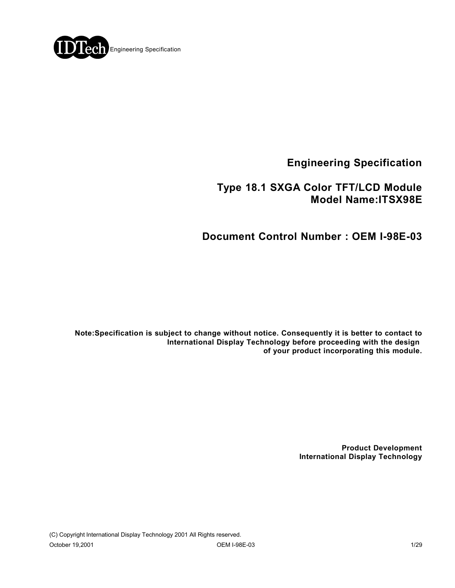

**Engineering Specification**

## **Type 18.1 SXGA Color TFT/LCD Module Model Name:ITSX98E**

# **Document Control Number : OEM I-98E-03**

**Note:Specification is subject to change without notice. Consequently it is better to contact to International Display Technology before proceeding with the design of your product incorporating this module.**

> **Product Development International Display Technology**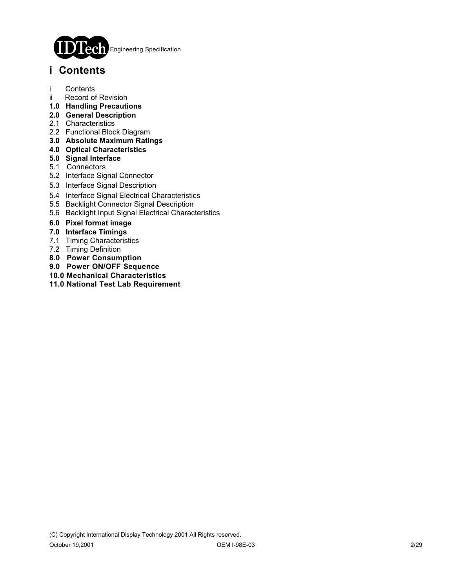

# **i Contents**

- i Contents
- ii Record of Revision
- **1.0 Handling Precautions**
- **2.0 General Description**
- 2.1 Characteristics
- 2.2 Functional Block Diagram
- **3.0 Absolute Maximum Ratings**
- **4.0 Optical Characteristics**
- **5.0 Signal Interface**
- 5.1 Connectors
- 5.2 Interface Signal Connector
- 5.3 Interface Signal Description
- 5.4 Interface Signal Electrical Characteristics
- 5.5 Backlight Connector Signal Description
- 5.6 Backlight Input Signal Electrical Characteristics
- **6.0 Pixel format image**
- **7.0 Interface Timings**
- 7.1 Timing Characteristics
- 7.2 Timing Definition
- **8.0 Power Consumption**
- **9.0 Power ON/OFF Sequence**
- **10.0 Mechanical Characteristics**
- **11.0 National Test Lab Requirement**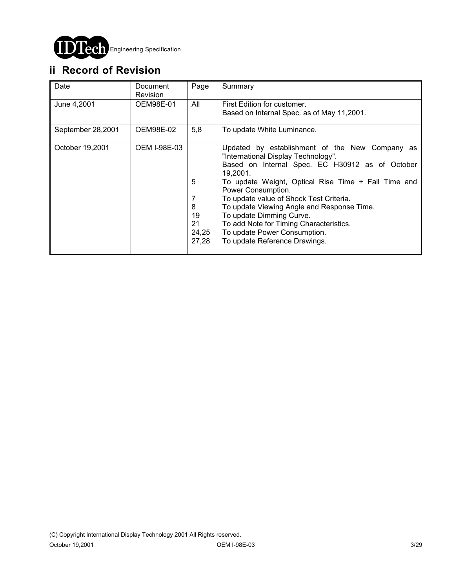

# **ii Record of Revision**

| Date              | Document<br><b>Revision</b> | Page                                 | Summary                                                                                                                                                                                                                                                                                                                                                                                                                                                            |
|-------------------|-----------------------------|--------------------------------------|--------------------------------------------------------------------------------------------------------------------------------------------------------------------------------------------------------------------------------------------------------------------------------------------------------------------------------------------------------------------------------------------------------------------------------------------------------------------|
| June 4,2001       | OEM98E-01                   | All                                  | First Edition for customer.<br>Based on Internal Spec. as of May 11,2001.                                                                                                                                                                                                                                                                                                                                                                                          |
| September 28,2001 | OEM98E-02                   | 5,8                                  | To update White Luminance.                                                                                                                                                                                                                                                                                                                                                                                                                                         |
| October 19,2001   | <b>OEM I-98E-03</b>         | 5<br>8<br>19<br>21<br>24,25<br>27,28 | Updated by establishment of the New Company as<br>"International Display Technology".<br>Based on Internal Spec. EC H30912 as of October<br>19.2001.<br>To update Weight, Optical Rise Time + Fall Time and<br>Power Consumption.<br>To update value of Shock Test Criteria.<br>To update Viewing Angle and Response Time.<br>To update Dimming Curve.<br>To add Note for Timing Characteristics.<br>To update Power Consumption.<br>To update Reference Drawings. |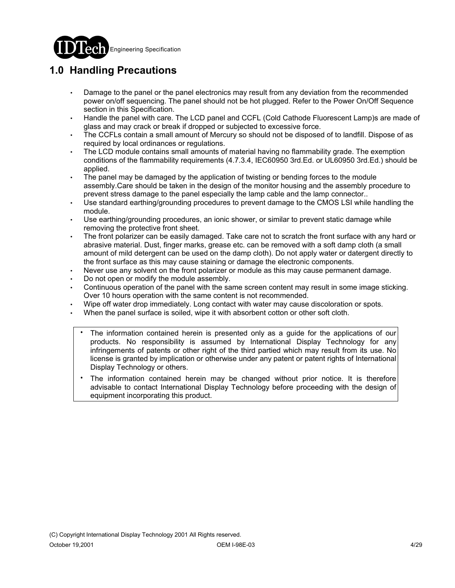

# **1.0 Handling Precautions**

- Damage to the panel or the panel electronics may result from any deviation from the recommended power on/off sequencing. The panel should not be hot plugged. Refer to the Power On/Off Sequence section in this Specification.
- Handle the panel with care. The LCD panel and CCFL (Cold Cathode Fluorescent Lamp)s are made of glass and may crack or break if dropped or subjected to excessive force.
- The CCFLs contain a small amount of Mercury so should not be disposed of to landfill. Dispose of as required by local ordinances or regulations.
- The LCD module contains small amounts of material having no flammability grade. The exemption conditions of the flammability requirements (4.7.3.4, IEC60950 3rd.Ed. or UL60950 3rd.Ed.) should be applied.
- The panel may be damaged by the application of twisting or bending forces to the module assembly.Care should be taken in the design of the monitor housing and the assembly procedure to prevent stress damage to the panel especially the lamp cable and the lamp connector..
- Use standard earthing/grounding procedures to prevent damage to the CMOS LSI while handling the module.
- Use earthing/grounding procedures, an ionic shower, or similar to prevent static damage while removing the protective front sheet.
- The front polarizer can be easily damaged. Take care not to scratch the front surface with any hard or abrasive material. Dust, finger marks, grease etc. can be removed with a soft damp cloth (a small amount of mild detergent can be used on the damp cloth). Do not apply water or datergent directly to the front surface as this may cause staining or damage the electronic components.
- Never use any solvent on the front polarizer or module as this may cause permanent damage.
- Do not open or modify the module assembly.
- Continuous operation of the panel with the same screen content may result in some image sticking. Over 10 hours operation with the same content is not recommended.
- Wipe off water drop immediately. Long contact with water may cause discoloration or spots.
- When the panel surface is soiled, wipe it with absorbent cotton or other soft cloth.
	- The information contained herein is presented only as a guide for the applications of our products. No responsibility is assumed by International Display Technology for any infringements of patents or other right of the third partied which may result from its use. No license is granted by implication or otherwise under any patent or patent rights of International Display Technology or others. .
	- The information contained herein may be changed without prior notice. It is therefore advisable to contact International Display Technology before proceeding with the design of equipment incorporating this product. .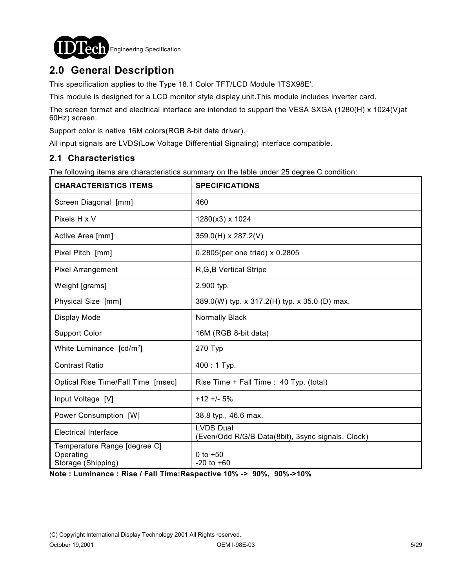

# **2.0 General Description**

This specification applies to the Type 18.1 Color TFT/LCD Module 'ITSX98E'.

This module is designed for a LCD monitor style display unit.This module includes inverter card.

The screen format and electrical interface are intended to support the VESA SXGA (1280(H) x 1024(V)at 60Hz) screen.

Support color is native 16M colors(RGB 8-bit data driver).

All input signals are LVDS(Low Voltage Differential Signaling) interface compatible.

#### **2.1 Characteristics**

The following items are characteristics summary on the table under 25 degree C condition:

| <b>CHARACTERISTICS ITEMS</b>                                    | <b>SPECIFICATIONS</b>                                                 |
|-----------------------------------------------------------------|-----------------------------------------------------------------------|
| Screen Diagonal [mm]                                            | 460                                                                   |
| Pixels H x V                                                    | 1280(x3) x 1024                                                       |
| Active Area [mm]                                                | 359.0(H) x 287.2(V)                                                   |
| Pixel Pitch [mm]                                                | 0.2805(per one triad) x 0.2805                                        |
| <b>Pixel Arrangement</b>                                        | R, G, B Vertical Stripe                                               |
| Weight [grams]                                                  | 2,900 typ.                                                            |
| Physical Size [mm]                                              | 389.0(W) typ. x 317.2(H) typ. x 35.0 (D) max.                         |
| Display Mode                                                    | Normally Black                                                        |
| <b>Support Color</b>                                            | 16M (RGB 8-bit data)                                                  |
| White Luminance [cd/m <sup>2</sup> ]                            | 270 Typ                                                               |
| <b>Contrast Ratio</b>                                           | 400:1 Typ.                                                            |
| Optical Rise Time/Fall Time [msec]                              | Rise Time + Fall Time : 40 Typ. (total)                               |
| Input Voltage [V]                                               | $+12 + 5%$                                                            |
| Power Consumption [W]                                           | 38.8 typ., 46.6 max.                                                  |
| <b>Electrical Interface</b>                                     | <b>LVDS Dual</b><br>(Even/Odd R/G/B Data(8bit), 3sync signals, Clock) |
| Temperature Range [degree C]<br>Operating<br>Storage (Shipping) | 0 to $+50$<br>$-20$ to $+60$                                          |

**Note : Luminance : Rise / Fall Time:Respective 10% -> 90%, 90%->10%**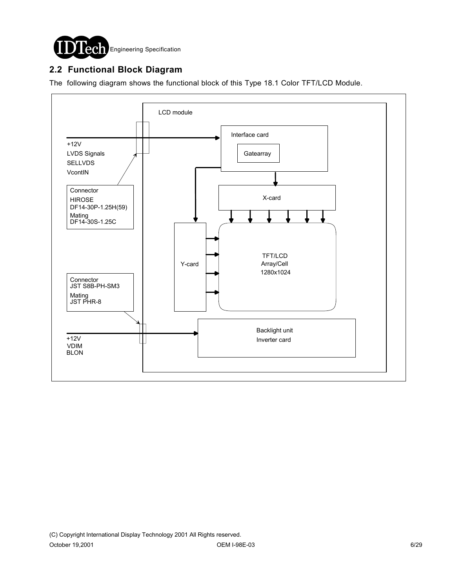

### **2.2 Functional Block Diagram**

The following diagram shows the functional block of this Type 18.1 Color TFT/LCD Module.

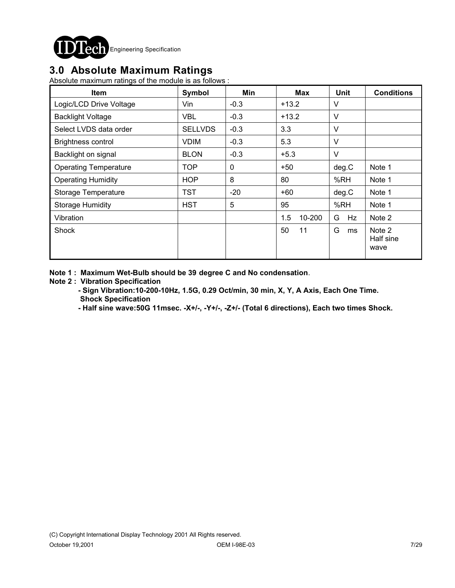

## **3.0 Absolute Maximum Ratings**

Absolute maximum ratings of the module is as follows :

| <b>Item</b>                  | Symbol         | Min         | <b>Max</b>    | <b>Unit</b> | <b>Conditions</b>           |
|------------------------------|----------------|-------------|---------------|-------------|-----------------------------|
| Logic/LCD Drive Voltage      | Vin            | $-0.3$      | $+13.2$       | V           |                             |
| <b>Backlight Voltage</b>     | VBL            | $-0.3$      | $+13.2$       | V           |                             |
| Select LVDS data order       | <b>SELLVDS</b> | $-0.3$      | 3.3           | V           |                             |
| <b>Brightness control</b>    | <b>VDIM</b>    | $-0.3$      | 5.3           | $\vee$      |                             |
| Backlight on signal          | <b>BLON</b>    | $-0.3$      | $+5.3$        | $\vee$      |                             |
| <b>Operating Temperature</b> | <b>TOP</b>     | $\mathbf 0$ | $+50$         | deg.C       | Note 1                      |
| <b>Operating Humidity</b>    | <b>HOP</b>     | 8           | 80            | %RH         | Note 1                      |
| <b>Storage Temperature</b>   | TST            | $-20$       | $+60$         | deg.C       | Note 1                      |
| <b>Storage Humidity</b>      | <b>HST</b>     | 5           | 95            | %RH         | Note 1                      |
| Vibration                    |                |             | 1.5<br>10-200 | G<br>Hz     | Note 2                      |
| Shock                        |                |             | 50<br>11      | G<br>ms     | Note 2<br>Half sine<br>wave |

**Note 1 : Maximum Wet-Bulb should be 39 degree C and No condensation**.

#### **Note 2 : Vibration Specification**

- **Sign Vibration:10-200-10Hz, 1.5G, 0.29 Oct/min, 30 min, X, Y, A Axis, Each One Time. Shock Specification**
- **Half sine wave:50G 11msec. -X+/-, -Y+/-, -Z+/- (Total 6 directions), Each two times Shock.**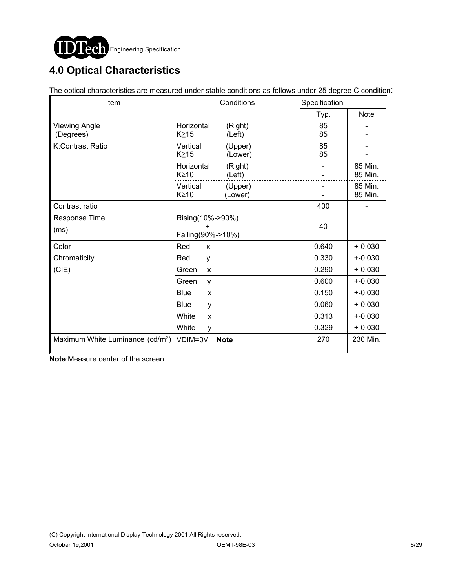

# **4.0 Optical Characteristics**

The optical characteristics are measured under stable conditions as follows under 25 degree C condition:

| Item                                         | Conditions                              | Specification |                    |  |
|----------------------------------------------|-----------------------------------------|---------------|--------------------|--|
|                                              |                                         | Typ.          | <b>Note</b>        |  |
| <b>Viewing Angle</b><br>(Degrees)            | Horizontal<br>(Right)<br>K≧15<br>(Left) | 85<br>85      |                    |  |
| K:Contrast Ratio                             | Vertical<br>(Upper)<br>K≥15<br>(Lower)  | 85<br>85      |                    |  |
|                                              | Horizontal<br>(Right)<br>K≥10<br>(Left) |               | 85 Min.<br>85 Min. |  |
|                                              | Vertical<br>(Upper)<br>K≥10<br>(Lower)  |               | 85 Min.<br>85 Min. |  |
| Contrast ratio                               |                                         | 400           |                    |  |
| Response Time<br>(ms)                        | Rising(10%->90%)<br>Falling(90%->10%)   | 40            |                    |  |
| Color                                        | Red<br>X                                | 0.640         | $+ -0.030$         |  |
| Chromaticity                                 | Red<br>y                                | 0.330         | $+ -0.030$         |  |
| (CIE)                                        | Green<br>X                              | 0.290         | $+ -0.030$         |  |
|                                              | Green<br>y                              | 0.600         | $+ -0.030$         |  |
|                                              | <b>Blue</b><br>X                        | 0.150         | $+ -0.030$         |  |
|                                              | <b>Blue</b><br>y                        | 0.060         | $+ -0.030$         |  |
|                                              | White<br>X                              | 0.313         | $+ -0.030$         |  |
|                                              | White<br>y                              | 0.329         | $+ -0.030$         |  |
| Maximum White Luminance (cd/m <sup>2</sup> ) | VDIM=0V<br><b>Note</b>                  | 270           | 230 Min.           |  |

**Note**:Measure center of the screen.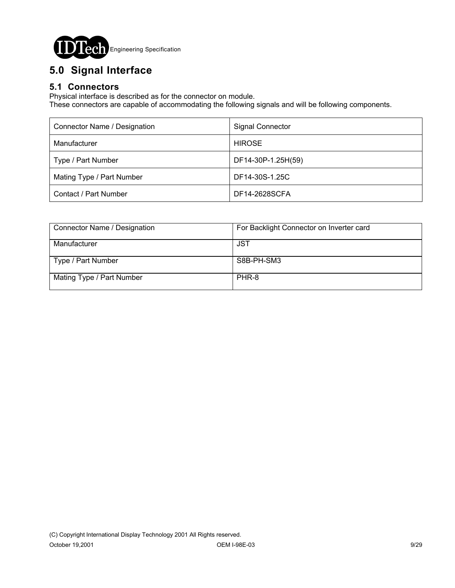

# **5.0 Signal Interface**

### **5.1 Connectors**

Physical interface is described as for the connector on module.

These connectors are capable of accommodating the following signals and will be following components.

| Connector Name / Designation | <b>Signal Connector</b> |
|------------------------------|-------------------------|
| Manufacturer                 | <b>HIROSE</b>           |
| Type / Part Number           | DF14-30P-1.25H(59)      |
| Mating Type / Part Number    | DF14-30S-1.25C          |
| Contact / Part Number        | DF14-2628SCFA           |

| Connector Name / Designation | For Backlight Connector on Inverter card |
|------------------------------|------------------------------------------|
| Manufacturer                 | JST                                      |
| Type / Part Number           | S8B-PH-SM3                               |
| Mating Type / Part Number    | PHR-8                                    |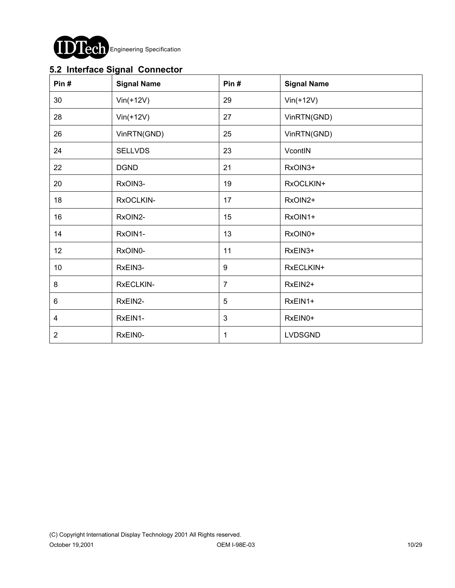

## **5.2 Interface Signal Connector**

| Pin#           | <b>Signal Name</b> | Pin#           | <b>Signal Name</b> |
|----------------|--------------------|----------------|--------------------|
| 30             | $Vin(+12V)$        | 29             | $Vin(+12V)$        |
| 28             | $Vin(+12V)$        | 27             | VinRTN(GND)        |
| 26             | VinRTN(GND)        | 25             | VinRTN(GND)        |
| 24             | <b>SELLVDS</b>     | 23             | VcontIN            |
| 22             | <b>DGND</b>        | 21             | RxOIN3+            |
| 20             | RxOIN3-            | 19             | RxOCLKIN+          |
| 18             | RxOCLKIN-          | 17             | RxOIN2+            |
| 16             | RxOIN2-            | 15             | RxOIN1+            |
| 14             | RxOIN1-            | 13             | RxOIN0+            |
| 12             | RxOIN0-            | 11             | RxEIN3+            |
| 10             | RxEIN3-            | 9              | RxECLKIN+          |
| 8              | RxECLKIN-          | $\overline{7}$ | RxEIN2+            |
| 6              | RxEIN2-            | 5              | RxEIN1+            |
| 4              | RxEIN1-            | $\mathbf{3}$   | RxEIN0+            |
| $\overline{2}$ | RxEIN0-            | 1              | <b>LVDSGND</b>     |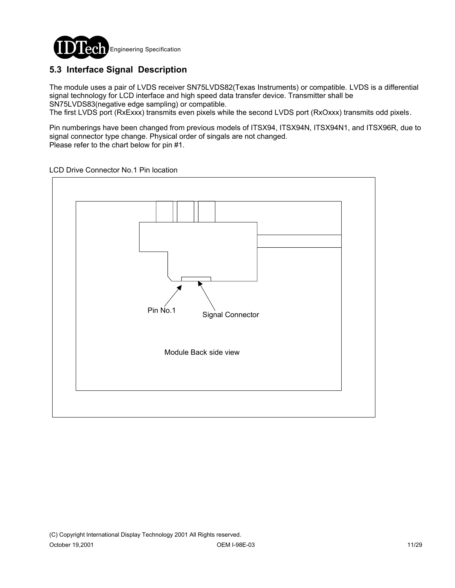

## **5.3 Interface Signal Description**

The module uses a pair of LVDS receiver SN75LVDS82(Texas Instruments) or compatible. LVDS is a differential signal technology for LCD interface and high speed data transfer device. Transmitter shall be SN75LVDS83(negative edge sampling) or compatible.

The first LVDS port (RxExxx) transmits even pixels while the second LVDS port (RxOxxx) transmits odd pixels.

Pin numberings have been changed from previous models of ITSX94, ITSX94N, ITSX94N1, and ITSX96R, due to signal connector type change. Physical order of singals are not changed. Please refer to the chart below for pin #1.

LCD Drive Connector No.1 Pin location

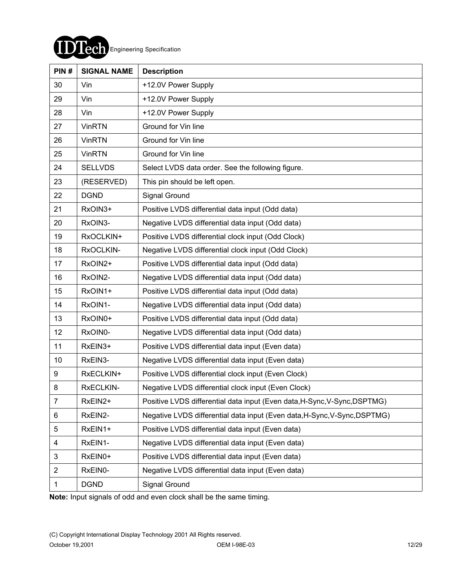

| PIN#           | <b>SIGNAL NAME</b> | <b>Description</b>                                                        |
|----------------|--------------------|---------------------------------------------------------------------------|
| 30             | Vin                | +12.0V Power Supply                                                       |
| 29             | Vin                | +12.0V Power Supply                                                       |
| 28             | Vin                | +12.0V Power Supply                                                       |
| 27             | <b>VinRTN</b>      | Ground for Vin line                                                       |
| 26             | <b>VinRTN</b>      | Ground for Vin line                                                       |
| 25             | <b>VinRTN</b>      | Ground for Vin line                                                       |
| 24             | <b>SELLVDS</b>     | Select LVDS data order. See the following figure.                         |
| 23             | (RESERVED)         | This pin should be left open.                                             |
| 22             | <b>DGND</b>        | Signal Ground                                                             |
| 21             | RxOIN3+            | Positive LVDS differential data input (Odd data)                          |
| 20             | RxOIN3-            | Negative LVDS differential data input (Odd data)                          |
| 19             | RxOCLKIN+          | Positive LVDS differential clock input (Odd Clock)                        |
| 18             | RxOCLKIN-          | Negative LVDS differential clock input (Odd Clock)                        |
| 17             | RxOIN2+            | Positive LVDS differential data input (Odd data)                          |
| 16             | RxOIN2-            | Negative LVDS differential data input (Odd data)                          |
| 15             | RxOIN1+            | Positive LVDS differential data input (Odd data)                          |
| 14             | RxOIN1-            | Negative LVDS differential data input (Odd data)                          |
| 13             | RxOIN0+            | Positive LVDS differential data input (Odd data)                          |
| 12             | RxOIN0-            | Negative LVDS differential data input (Odd data)                          |
| 11             | RxEIN3+            | Positive LVDS differential data input (Even data)                         |
| 10             | RxEIN3-            | Negative LVDS differential data input (Even data)                         |
| 9              | RxECLKIN+          | Positive LVDS differential clock input (Even Clock)                       |
| 8              | RxECLKIN-          | Negative LVDS differential clock input (Even Clock)                       |
| $\overline{7}$ | RxEIN2+            | Positive LVDS differential data input (Even data, H-Sync, V-Sync, DSPTMG) |
| 6              | RxEIN2-            | Negative LVDS differential data input (Even data, H-Sync, V-Sync, DSPTMG) |
| 5              | RxEIN1+            | Positive LVDS differential data input (Even data)                         |
| 4              | RxEIN1-            | Negative LVDS differential data input (Even data)                         |
| 3              | RxEIN0+            | Positive LVDS differential data input (Even data)                         |
| $\overline{2}$ | RxEIN0-            | Negative LVDS differential data input (Even data)                         |
| 1              | <b>DGND</b>        | Signal Ground                                                             |

**Note:** Input signals of odd and even clock shall be the same timing.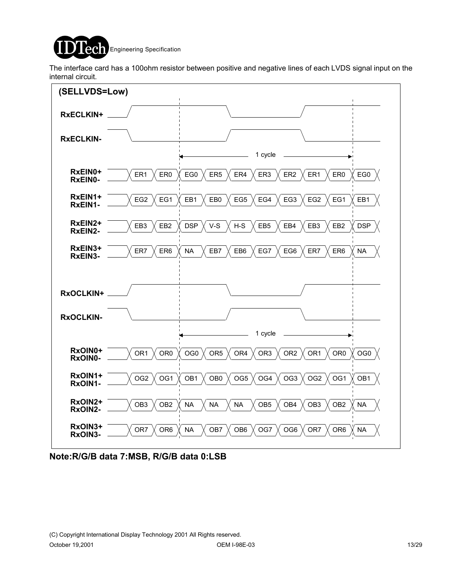

The interface card has a 100ohm resistor between positive and negative lines of each LVDS signal input on the internal circuit.



**Note:R/G/B data 7:MSB, R/G/B data 0:LSB**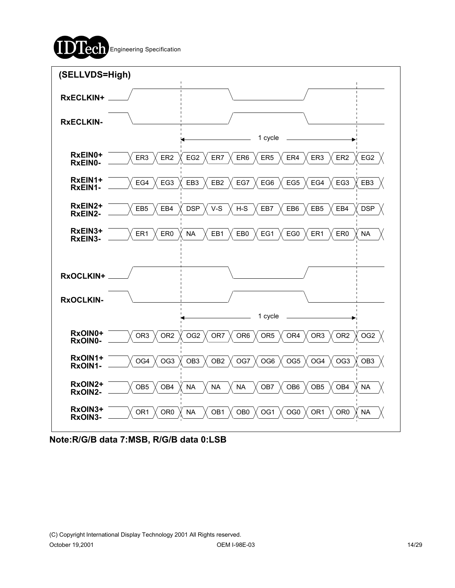



**Note:R/G/B data 7:MSB, R/G/B data 0:LSB**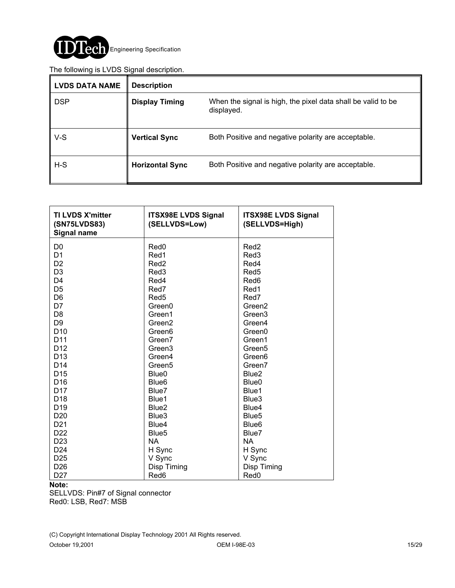

#### The following is LVDS Signal description.

| <b>LVDS DATA NAME</b> | <b>Description</b>     |                                                                            |
|-----------------------|------------------------|----------------------------------------------------------------------------|
| <b>DSP</b>            | <b>Display Timing</b>  | When the signal is high, the pixel data shall be valid to be<br>displayed. |
| $V-S$                 | <b>Vertical Sync</b>   | Both Positive and negative polarity are acceptable.                        |
| $H-S$                 | <b>Horizontal Sync</b> | Both Positive and negative polarity are acceptable.                        |

| <b>TI LVDS X'mitter</b><br>(SN75LVDS83)<br><b>Signal name</b> | <b>ITSX98E LVDS Signal</b><br>(SELLVDS=Low) | <b>ITSX98E LVDS Signal</b><br>(SELLVDS=High) |
|---------------------------------------------------------------|---------------------------------------------|----------------------------------------------|
| D <sub>0</sub>                                                | Red <sub>0</sub>                            | Red <sub>2</sub>                             |
| D <sub>1</sub>                                                | Red1                                        | Red <sub>3</sub>                             |
| D <sub>2</sub>                                                | Red <sub>2</sub>                            | Red4                                         |
| D <sub>3</sub>                                                | Red <sub>3</sub>                            | Red <sub>5</sub>                             |
| D <sub>4</sub>                                                | Red4                                        | Red <sub>6</sub>                             |
| D <sub>5</sub>                                                | Red7                                        | Red1                                         |
| D <sub>6</sub>                                                | Red <sub>5</sub>                            | Red7                                         |
| D7                                                            | Green0                                      | Green <sub>2</sub>                           |
| D <sub>8</sub>                                                | Green1                                      | Green <sub>3</sub>                           |
| D <sub>9</sub>                                                | Green <sub>2</sub>                          | Green4                                       |
| D <sub>10</sub>                                               | Green <sub>6</sub>                          | Green0                                       |
| D <sub>11</sub>                                               | Green7                                      | Green1                                       |
| D <sub>12</sub>                                               | Green <sub>3</sub>                          | Green <sub>5</sub>                           |
| D <sub>13</sub>                                               | Green4                                      | Green <sub>6</sub>                           |
| D <sub>14</sub>                                               | Green <sub>5</sub>                          | Green7                                       |
| D <sub>15</sub>                                               | Blue <sub>0</sub>                           | Blue <sub>2</sub>                            |
| D <sub>16</sub>                                               | Blue <sub>6</sub>                           | Blue <sub>0</sub>                            |
| D <sub>17</sub>                                               | Blue7                                       | Blue1                                        |
| D <sub>18</sub>                                               | Blue1                                       | Blue3                                        |
| D <sub>19</sub>                                               | Blue <sub>2</sub>                           | Blue4                                        |
| D <sub>20</sub>                                               | Blue3                                       | Blue <sub>5</sub>                            |
| D <sub>21</sub>                                               | Blue4                                       | Blue <sub>6</sub>                            |
| D <sub>22</sub>                                               | Blue <sub>5</sub>                           | Blue7                                        |
| D <sub>23</sub>                                               | <b>NA</b>                                   | <b>NA</b>                                    |
| D <sub>24</sub>                                               | H Sync                                      | H Sync                                       |
| D <sub>25</sub>                                               | V Sync                                      | V Sync                                       |
| D <sub>26</sub>                                               | Disp Timing                                 | Disp Timing                                  |
| D <sub>27</sub>                                               | Red6                                        | Red <sub>0</sub>                             |

#### **Note:**

SELLVDS: Pin#7 of Signal connector Red0: LSB, Red7: MSB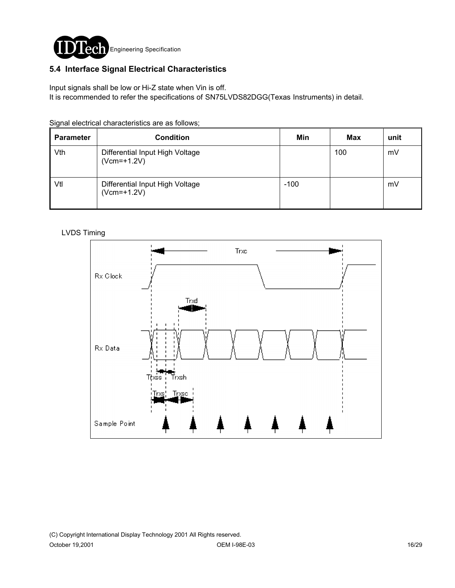

### **5.4 Interface Signal Electrical Characteristics**

Input signals shall be low or Hi-Z state when Vin is off.

It is recommended to refer the specifications of SN75LVDS82DGG(Texas Instruments) in detail.

Signal electrical characteristics are as follows;

| <b>Parameter</b> | <b>Condition</b>                                 | Min    | <b>Max</b> | unit |
|------------------|--------------------------------------------------|--------|------------|------|
| Vth              | Differential Input High Voltage<br>$(Vcm=+1.2V)$ |        | 100        | mV   |
| Vtl              | Differential Input High Voltage<br>$(Vcm=+1.2V)$ | $-100$ |            | mV   |

#### LVDS Timing

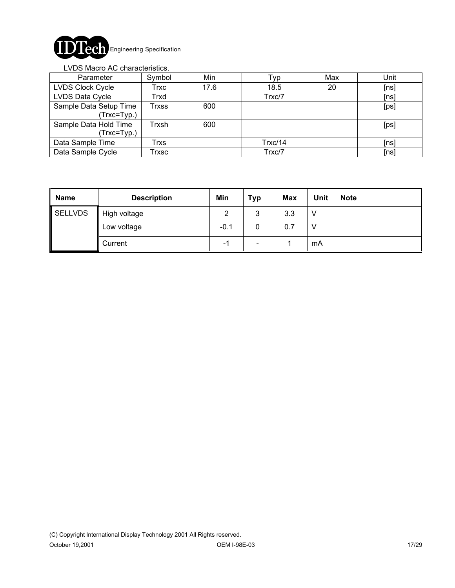

#### LVDS Macro AC characteristics.

| Parameter                             | Symbol                     | Min  | Typ     | Max | Unit |
|---------------------------------------|----------------------------|------|---------|-----|------|
| LVDS Clock Cycle                      | Trxc                       | 17.6 | 18.5    | 20  | [ns] |
| LVDS Data Cycle                       | Trxd                       |      | Trxc/7  |     | [ns] |
| Sample Data Setup Time<br>(Trxc=Typ.) | $\mathsf{r}_{\text{rxss}}$ | 600  |         |     | [ps] |
| Sample Data Hold Time<br>(Trxc=Typ.)  | Trxsh                      | 600  |         |     | [ps] |
| Data Sample Time                      | Trxs                       |      | Trxc/14 |     | [ns] |
| Data Sample Cycle                     | Trxsc                      |      | Trxc/7  |     | [ns] |

| <b>Name</b> | <b>Description</b> | Min    | <b>Typ</b>               | <b>Max</b> | Unit | <b>Note</b> |
|-------------|--------------------|--------|--------------------------|------------|------|-------------|
| SELLVDS     | High voltage       | っ      | 3                        | 3.3        |      |             |
|             | Low voltage        | $-0.1$ | 0                        | 0.7        |      |             |
|             | Current            | - 1    | $\overline{\phantom{a}}$ |            | mA   |             |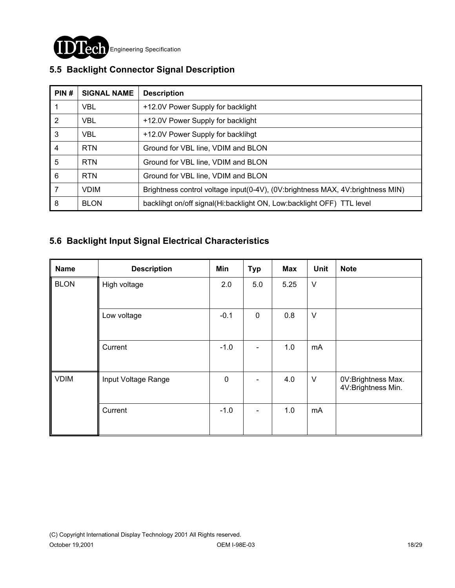

| PIN#           | <b>SIGNAL NAME</b> | <b>Description</b>                                                             |
|----------------|--------------------|--------------------------------------------------------------------------------|
|                | <b>VBL</b>         | +12.0V Power Supply for backlight                                              |
| $\overline{2}$ | <b>VBL</b>         | +12.0V Power Supply for backlight                                              |
| 3              | <b>VBL</b>         | +12.0V Power Supply for backlihgt                                              |
| $\overline{4}$ | <b>RTN</b>         | Ground for VBL line, VDIM and BLON                                             |
| 5              | <b>RTN</b>         | Ground for VBL line, VDIM and BLON                                             |
| 6              | <b>RTN</b>         | Ground for VBL line, VDIM and BLON                                             |
| 7              | <b>VDIM</b>        | Brightness control voltage input(0-4V), (0V:brightness MAX, 4V:brightness MIN) |
| 8              | <b>BLON</b>        | backlingt on/off signal(Hi:backlight ON, Low:backlight OFF) TTL level          |

## **5.5 Backlight Connector Signal Description**

### **5.6 Backlight Input Signal Electrical Characteristics**

| <b>Name</b> | <b>Description</b>  | Min         | <b>Typ</b>     | Max  | Unit   | <b>Note</b>                              |
|-------------|---------------------|-------------|----------------|------|--------|------------------------------------------|
| <b>BLON</b> | High voltage        | 2.0         | 5.0            | 5.25 | $\vee$ |                                          |
|             | Low voltage         | $-0.1$      | $\mathbf 0$    | 0.8  | $\vee$ |                                          |
|             | Current             | $-1.0$      |                | 1.0  | mA     |                                          |
| <b>VDIM</b> | Input Voltage Range | $\mathbf 0$ |                | 4.0  | $\vee$ | 0V:Brightness Max.<br>4V:Brightness Min. |
|             | Current             | $-1.0$      | $\blacksquare$ | 1.0  | mA     |                                          |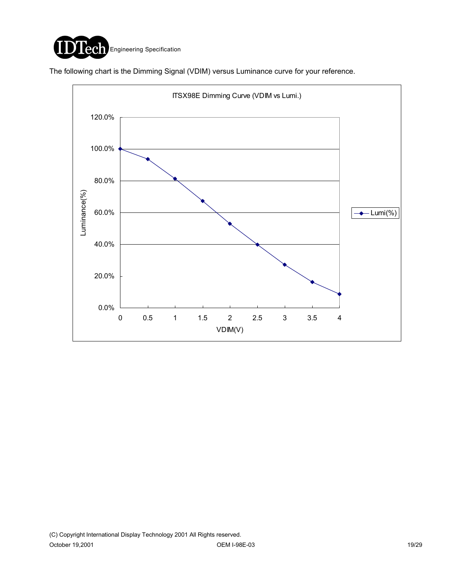

The following chart is the Dimming Signal (VDIM) versus Luminance curve for your reference.

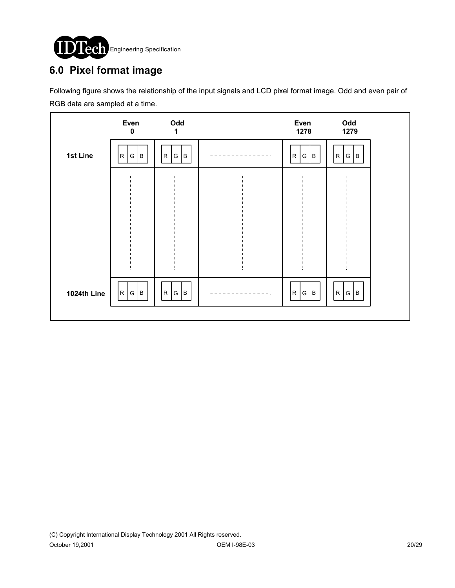

# **6.0 Pixel format image**

Following figure shows the relationship of the input signals and LCD pixel format image. Odd and even pair of RGB data are sampled at a time.

|             | Even<br>$\bf{0}$      | Odd<br>1               | Even<br>1278         | Odd<br>1279 |  |
|-------------|-----------------------|------------------------|----------------------|-------------|--|
| 1st Line    | $\mathsf R$<br>B<br>G | B<br>$\mathsf R$<br>G  | $\mathsf R$<br>G   B | R <br>G   B |  |
|             |                       |                        |                      |             |  |
|             |                       |                        |                      |             |  |
|             |                       |                        |                      |             |  |
|             |                       |                        |                      |             |  |
| 1024th Line | R<br> G <br> B        | G<br>$\mathsf R$<br> B | R <br>G   B          | R <br>G   B |  |
|             |                       |                        |                      |             |  |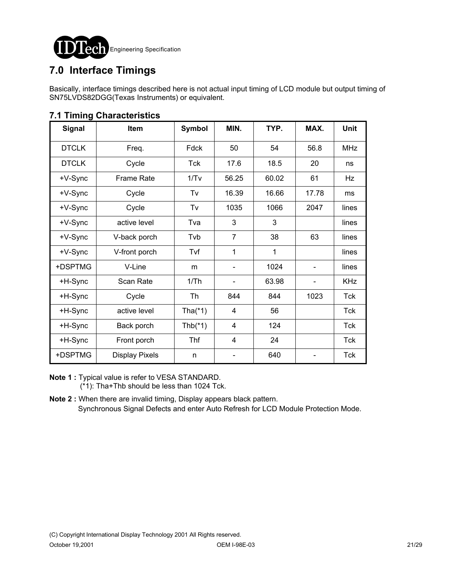

# **7.0 Interface Timings**

Basically, interface timings described here is not actual input timing of LCD module but output timing of SN75LVDS82DGG(Texas Instruments) or equivalent.

| <b>Signal</b> | Item                  | <b>Symbol</b> | MIN.           | TYP.  | MAX.  | <b>Unit</b> |
|---------------|-----------------------|---------------|----------------|-------|-------|-------------|
| <b>DTCLK</b>  | Freq.                 | Fdck          | 50             | 54    | 56.8  | <b>MHz</b>  |
| <b>DTCLK</b>  | Cycle                 | Tck           | 17.6           | 18.5  | 20    | ns          |
| +V-Sync       | <b>Frame Rate</b>     | 1/Tv          | 56.25          | 60.02 | 61    | Hz          |
| +V-Sync       | Cycle                 | Tv            | 16.39          | 16.66 | 17.78 | ms          |
| +V-Sync       | Cycle                 | Tv            | 1035           | 1066  | 2047  | lines       |
| +V-Sync       | active level          | Tva           | 3              | 3     |       | lines       |
| +V-Sync       | V-back porch          | Tvb           | $\overline{7}$ | 38    | 63    | lines       |
| +V-Sync       | V-front porch         | Tvf           | 1              | 1     |       | lines       |
| +DSPTMG       | V-Line                | m             |                | 1024  |       | lines       |
| +H-Sync       | Scan Rate             | 1/Th          |                | 63.98 |       | <b>KHz</b>  |
| +H-Sync       | Cycle                 | Th            | 844            | 844   | 1023  | Tck         |
| +H-Sync       | active level          | Tha $(*1)$    | 4              | 56    |       | Tck         |
| +H-Sync       | Back porch            | Thb $(*1)$    | 4              | 124   |       | <b>Tck</b>  |
| +H-Sync       | Front porch           | <b>Thf</b>    | $\overline{4}$ | 24    |       | <b>Tck</b>  |
| +DSPTMG       | <b>Display Pixels</b> | n             |                | 640   |       | Tck         |

### **7.1 Timing Characteristics**

**Note 1 :** Typical value is refer to VESA STANDARD. (\*1): Tha+Thb should be less than 1024 Tck.

**Note 2 :** When there are invalid timing, Display appears black pattern. Synchronous Signal Defects and enter Auto Refresh for LCD Module Protection Mode.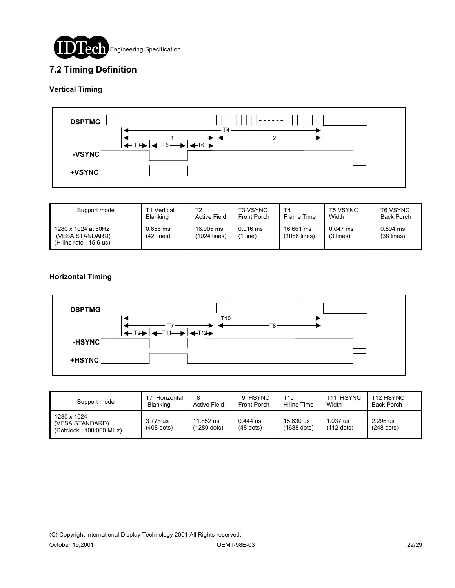

### **7.2 Timing Definition**

#### **Vertical Timing**



| Support mode                                                        | T1 Vertical              | T2                        | <b>T3 VSYNC</b>     | T4                        | <b>T5 VSYNC</b>         | T6 VSYNC                   |
|---------------------------------------------------------------------|--------------------------|---------------------------|---------------------|---------------------------|-------------------------|----------------------------|
|                                                                     | <b>Blanking</b>          | <b>Active Field</b>       | <b>Front Porch</b>  | Frame Time                | Width                   | <b>Back Porch</b>          |
| 1280 x 1024 at 60Hz<br>(VESA STANDARD)<br>$(H$ line rate : 15.6 us) | 0.656 ms<br>$(42$ lines) | 16,005 ms<br>(1024 lines) | $0.016$ ms<br>line) | 16.661 ms<br>(1066 lines) | $0.047$ ms<br>(3 lines) | $0.594$ ms<br>$(38$ lines) |

#### **Horizontal Timing**



| Support mode                                              | Horizontal<br>Blanking   | T8<br>Active Field         | T9 HSYNC<br><b>Front Porch</b> | T10<br>H line Time         | <b>HSYNC</b><br>$T11$ .<br>Width | T <sub>12</sub> HSYNC<br>Back Porch |
|-----------------------------------------------------------|--------------------------|----------------------------|--------------------------------|----------------------------|----------------------------------|-------------------------------------|
| 1280 x 1024<br>(VESA STANDARD)<br>(Dotclock: 108.000 MHz) | 3.778 us<br>$(408$ dots) | 11.852 us<br>$(1280$ dots) | $0.444$ us<br>$(48$ dots)      | 15.630 us<br>$(1688$ dots) | $1.037$ us<br>$(112$ dots)       | 2.296 us<br>$(248$ dots)            |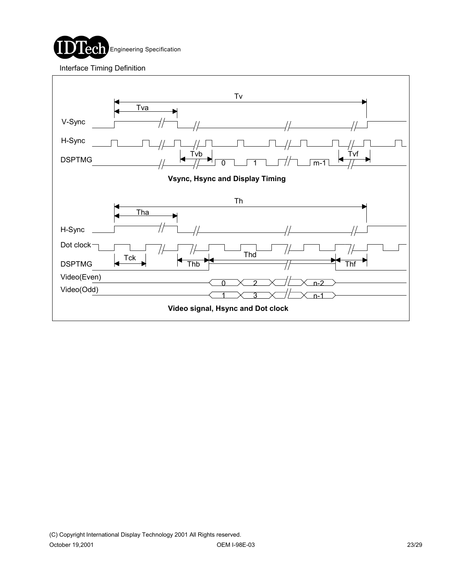

Interface Timing Definition

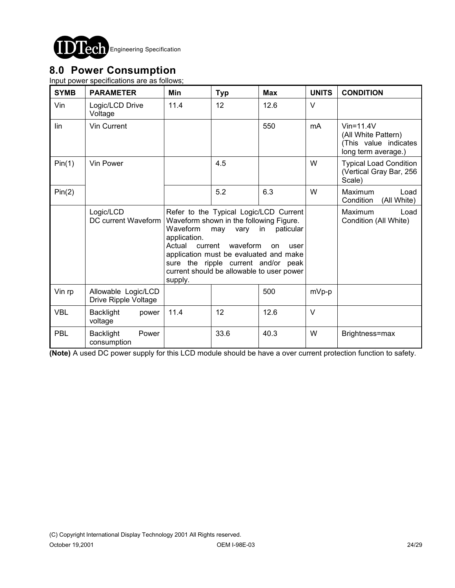

## **8.0 Power Consumption**

Input power specifications are as follows;

| <b>SYMB</b> | <b>PARAMETER</b>                            | Min                                                                                                                                                                                                                                                                                                                                            | <b>Typ</b> | <b>Max</b> | <b>UNITS</b>   | <b>CONDITION</b>                                                                       |
|-------------|---------------------------------------------|------------------------------------------------------------------------------------------------------------------------------------------------------------------------------------------------------------------------------------------------------------------------------------------------------------------------------------------------|------------|------------|----------------|----------------------------------------------------------------------------------------|
| Vin         | Logic/LCD Drive<br>Voltage                  | 11.4                                                                                                                                                                                                                                                                                                                                           | 12         | 12.6       | $\vee$         |                                                                                        |
| lin         | Vin Current                                 |                                                                                                                                                                                                                                                                                                                                                |            | 550        | m <sub>A</sub> | $V$ in=11.4 $V$<br>(All White Pattern)<br>(This value indicates<br>long term average.) |
| Pin(1)      | Vin Power                                   |                                                                                                                                                                                                                                                                                                                                                | 4.5        |            | W              | <b>Typical Load Condition</b><br>(Vertical Gray Bar, 256<br>Scale)                     |
| Pin(2)      |                                             |                                                                                                                                                                                                                                                                                                                                                | 5.2        | 6.3        | W              | Maximum<br>Load<br>Condition<br>(All White)                                            |
|             | Logic/LCD<br>DC current Waveform            | Refer to the Typical Logic/LCD Current<br>Waveform shown in the following Figure.<br>Waveform<br>in<br>paticular<br>may<br>vary<br>application.<br>Actual<br>waveform<br>current<br>user<br><b>on</b><br>application must be evaluated and make<br>sure the ripple current and/or peak<br>current should be allowable to user power<br>supply. |            |            |                | <b>Maximum</b><br>Load<br>Condition (All White)                                        |
| Vin rp      | Allowable Logic/LCD<br>Drive Ripple Voltage |                                                                                                                                                                                                                                                                                                                                                |            | 500        | mVp-p          |                                                                                        |
| <b>VBL</b>  | <b>Backlight</b><br>power<br>voltage        | 11.4                                                                                                                                                                                                                                                                                                                                           | 12         | 12.6       | $\vee$         |                                                                                        |
| PBL         | <b>Backlight</b><br>Power<br>consumption    |                                                                                                                                                                                                                                                                                                                                                | 33.6       | 40.3       | W              | Brightness=max                                                                         |

**(Note)** A used DC power supply for this LCD module should be have a over current protection function to safety.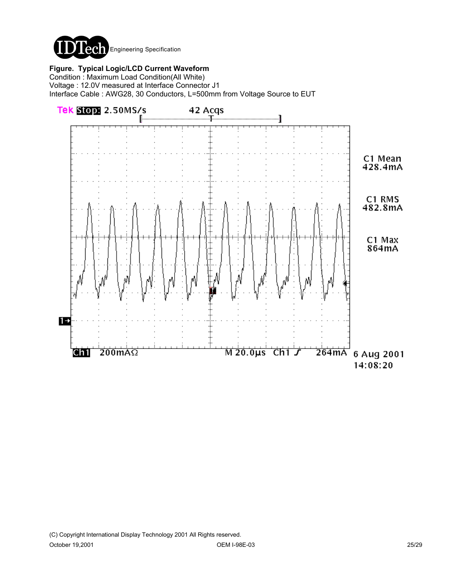

**Figure. Typical Logic/LCD Current Waveform**

Condition : Maximum Load Condition(All White) Voltage : 12.0V measured at Interface Connector J1 Interface Cable : AWG28, 30 Conductors, L=500mm from Voltage Source to EUT

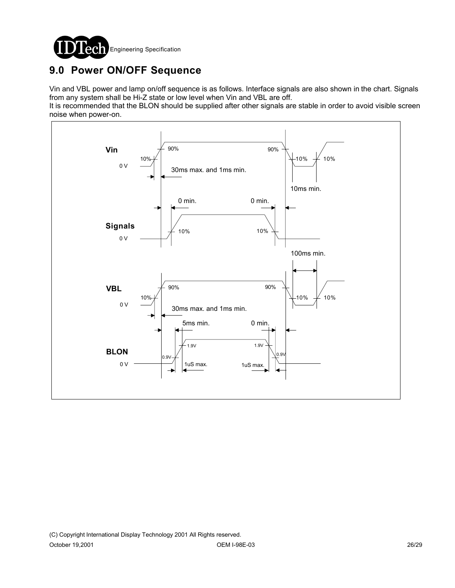

# **9.0 Power ON/OFF Sequence**

Vin and VBL power and lamp on/off sequence is as follows. Interface signals are also shown in the chart. Signals from any system shall be Hi-Z state or low level when Vin and VBL are off.

It is recommended that the BLON should be supplied after other signals are stable in order to avoid visible screen noise when power-on.

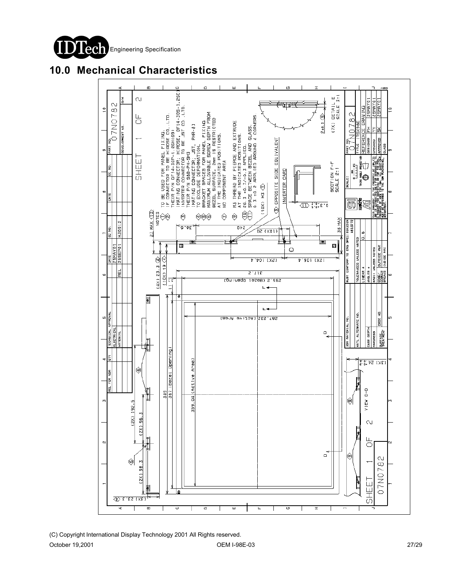

## **10.0 Mechanical Characteristics**

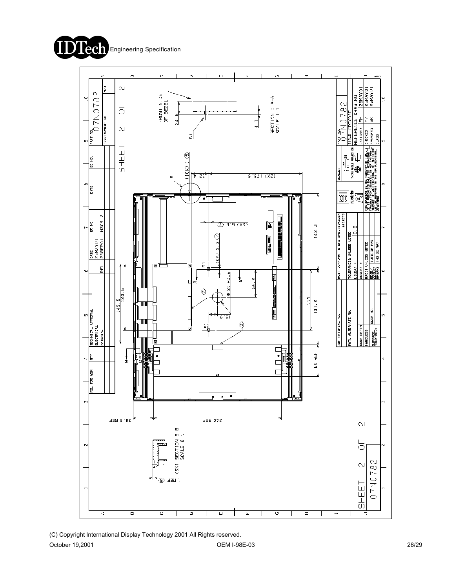